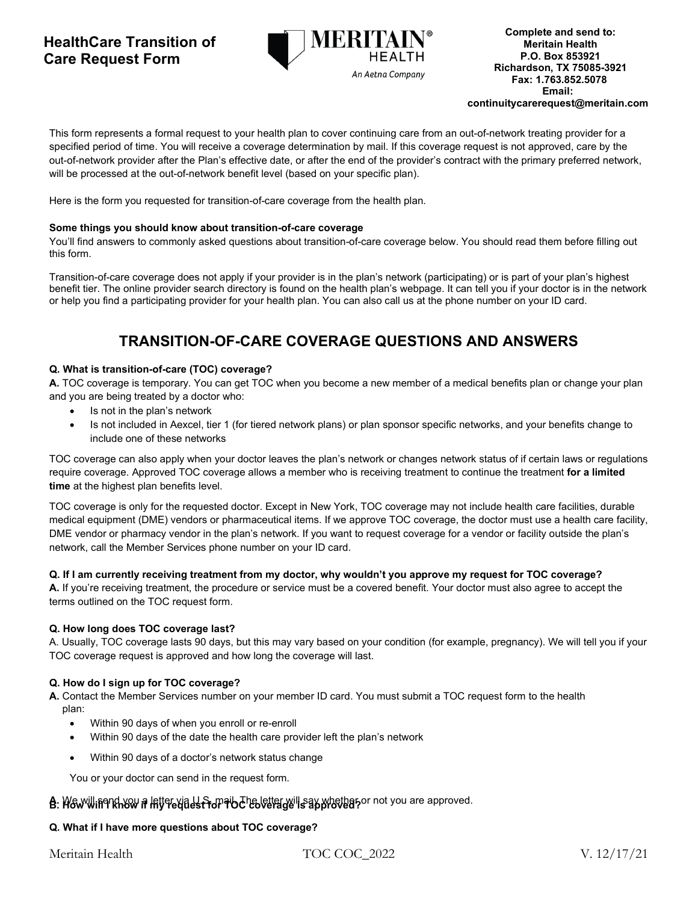## **HealthCare Transition of Care Request Form**



This form represents a formal request to your health plan to cover continuing care from an out-of-network treating provider for a specified period of time. You will receive a coverage determination by mail. If this coverage request is not approved, care by the out-of-network provider after the Plan's effective date, or after the end of the provider's contract with the primary preferred network, will be processed at the out-of-network benefit level (based on your specific plan).

Here is the form you requested for transition-of-care coverage from the health plan.

### **Some things you should know about transition-of-care coverage**

You'll find answers to commonly asked questions about transition-of-care coverage below. You should read them before filling out this form.

Transition-of-care coverage does not apply if your provider is in the plan's network (participating) or is part of your plan's highest benefit tier. The online provider search directory is found on the health plan's webpage. It can tell you if your doctor is in the network or help you find a participating provider for your health plan. You can also call us at the phone number on your ID card.

# **TRANSITION-OF-CARE COVERAGE QUESTIONS AND ANSWERS**

### **Q. What is transition-of-care (TOC) coverage?**

**A.** TOC coverage is temporary. You can get TOC when you become a new member of a medical benefits plan or change your plan and you are being treated by a doctor who:

- Is not in the plan's network
- Is not included in Aexcel, tier 1 (for tiered network plans) or plan sponsor specific networks, and your benefits change to include one of these networks

TOC coverage can also apply when your doctor leaves the plan's network or changes network status of if certain laws or regulations require coverage. Approved TOC coverage allows a member who is receiving treatment to continue the treatment **for a limited time** at the highest plan benefits level.

TOC coverage is only for the requested doctor. Except in New York, TOC coverage may not include health care facilities, durable medical equipment (DME) vendors or pharmaceutical items. If we approve TOC coverage, the doctor must use a health care facility, DME vendor or pharmacy vendor in the plan's network. If you want to request coverage for a vendor or facility outside the plan's network, call the Member Services phone number on your ID card.

## **Q. If I am currently receiving treatment from my doctor, why wouldn't you approve my request for TOC coverage?**

**A.** If you're receiving treatment, the procedure or service must be a covered benefit. Your doctor must also agree to accept the terms outlined on the TOC request form.

#### **Q. How long does TOC coverage last?**

A. Usually, TOC coverage lasts 90 days, but this may vary based on your condition (for example, pregnancy). We will tell you if your TOC coverage request is approved and how long the coverage will last.

## **Q. How do I sign up for TOC coverage?**

**A.** Contact the Member Services number on your member ID card. You must submit a TOC request form to the health plan:

- Within 90 days of when you enroll or re-enroll
- Within 90 days of the date the health care provider left the plan's network
- Within 90 days of a doctor's network status change

You or your doctor can send in the request form.

## **B.** We will in thow if letter yia U.S. mail the letter will say whether or not you are approved.

## **Q. What if I have more questions about TOC coverage?**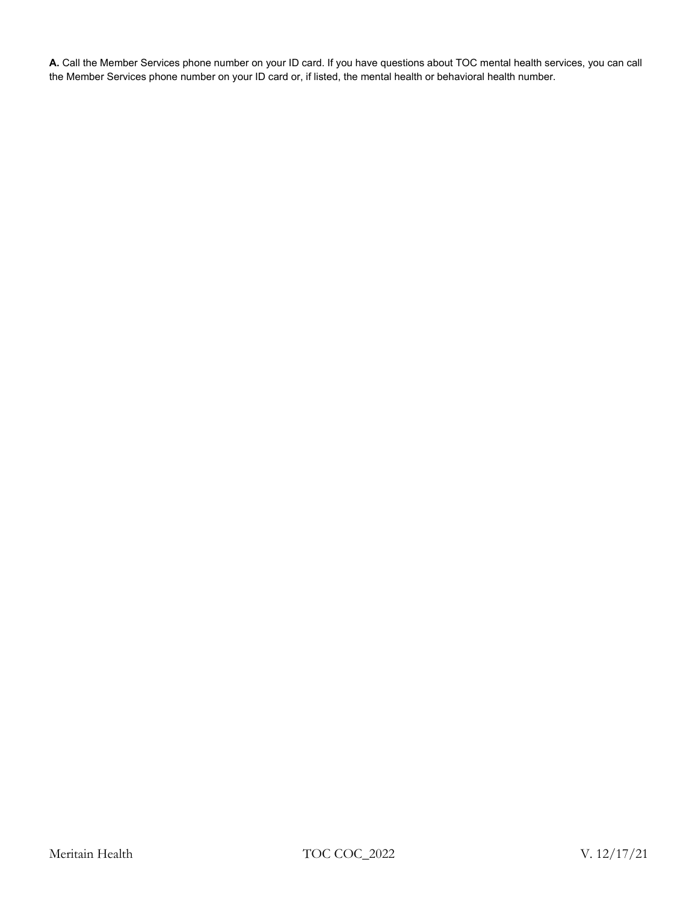**A.** Call the Member Services phone number on your ID card. If you have questions about TOC mental health services, you can call the Member Services phone number on your ID card or, if listed, the mental health or behavioral health number.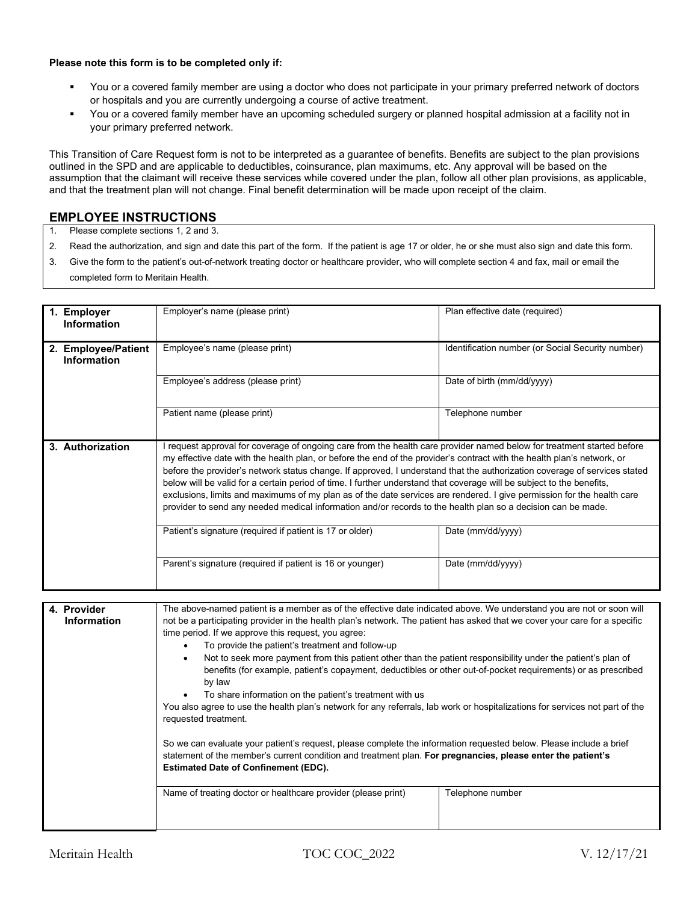#### **Please note this form is to be completed only if:**

- You or a covered family member are using a doctor who does not participate in your primary preferred network of doctors or hospitals and you are currently undergoing a course of active treatment.
- You or a covered family member have an upcoming scheduled surgery or planned hospital admission at a facility not in your primary preferred network.

This Transition of Care Request form is not to be interpreted as a guarantee of benefits. Benefits are subject to the plan provisions outlined in the SPD and are applicable to deductibles, coinsurance, plan maximums, etc. Any approval will be based on the assumption that the claimant will receive these services while covered under the plan, follow all other plan provisions, as applicable, and that the treatment plan will not change. Final benefit determination will be made upon receipt of the claim.

## **EMPLOYEE INSTRUCTIONS**

- 1. Please complete sections 1, 2 and 3.
- 2. Read the authorization, and sign and date this part of the form. If the patient is age 17 or older, he or she must also sign and date this form.
- 3. Give the form to the patient's out-of-network treating doctor or healthcare provider, who will complete section 4 and fax, mail or email the completed form to Meritain Health.

| 1. Employer<br><b>Information</b>         | Employer's name (please print)                                                                                                                                                                                                                                                                                                                                                                                                                                                                                                                                                                                                                                                                                                                    | Plan effective date (required)                    |
|-------------------------------------------|---------------------------------------------------------------------------------------------------------------------------------------------------------------------------------------------------------------------------------------------------------------------------------------------------------------------------------------------------------------------------------------------------------------------------------------------------------------------------------------------------------------------------------------------------------------------------------------------------------------------------------------------------------------------------------------------------------------------------------------------------|---------------------------------------------------|
| 2. Employee/Patient<br><b>Information</b> | Employee's name (please print)                                                                                                                                                                                                                                                                                                                                                                                                                                                                                                                                                                                                                                                                                                                    | Identification number (or Social Security number) |
|                                           | Employee's address (please print)                                                                                                                                                                                                                                                                                                                                                                                                                                                                                                                                                                                                                                                                                                                 | Date of birth (mm/dd/yyyy)                        |
|                                           | Patient name (please print)                                                                                                                                                                                                                                                                                                                                                                                                                                                                                                                                                                                                                                                                                                                       | Telephone number                                  |
| 3. Authorization                          | I request approval for coverage of ongoing care from the health care provider named below for treatment started before<br>my effective date with the health plan, or before the end of the provider's contract with the health plan's network, or<br>before the provider's network status change. If approved, I understand that the authorization coverage of services stated<br>below will be valid for a certain period of time. I further understand that coverage will be subject to the benefits,<br>exclusions, limits and maximums of my plan as of the date services are rendered. I give permission for the health care<br>provider to send any needed medical information and/or records to the health plan so a decision can be made. |                                                   |
|                                           | Patient's signature (required if patient is 17 or older)                                                                                                                                                                                                                                                                                                                                                                                                                                                                                                                                                                                                                                                                                          | Date (mm/dd/yyyy)                                 |
|                                           | Parent's signature (required if patient is 16 or younger)                                                                                                                                                                                                                                                                                                                                                                                                                                                                                                                                                                                                                                                                                         | Date (mm/dd/yyyy)                                 |
|                                           |                                                                                                                                                                                                                                                                                                                                                                                                                                                                                                                                                                                                                                                                                                                                                   |                                                   |
| 4. Provider                               | The above-named patient is a member as of the effective date indicated above. We understand you are not or soon will<br>not be a participating provider in the health plan's network. The patient has asked that we cover your care for a specific<br>time period. If we approve this request, you agree:<br>To provide the patient's treatment and follow-up<br>$\bullet$<br>Not to seek more payment from this patient other than the patient responsibility under the patient's plan of<br>$\bullet$<br>benefits (for example, patient's copayment, deductibles or other out-of-pocket requirements) or as prescribed<br>by law<br>To share information on the patient's treatment with us                                                     |                                                   |
| <b>Information</b>                        |                                                                                                                                                                                                                                                                                                                                                                                                                                                                                                                                                                                                                                                                                                                                                   |                                                   |
|                                           | You also agree to use the health plan's network for any referrals, lab work or hospitalizations for services not part of the<br>requested treatment.                                                                                                                                                                                                                                                                                                                                                                                                                                                                                                                                                                                              |                                                   |

So we can evaluate your patient's request, please complete the information requested below. Please include a brief statement of the member's current condition and treatment plan. **For pregnancies, please enter the patient's Estimated Date of Confinement (EDC).**

Name of treating doctor or healthcare provider (please print) Telephone number